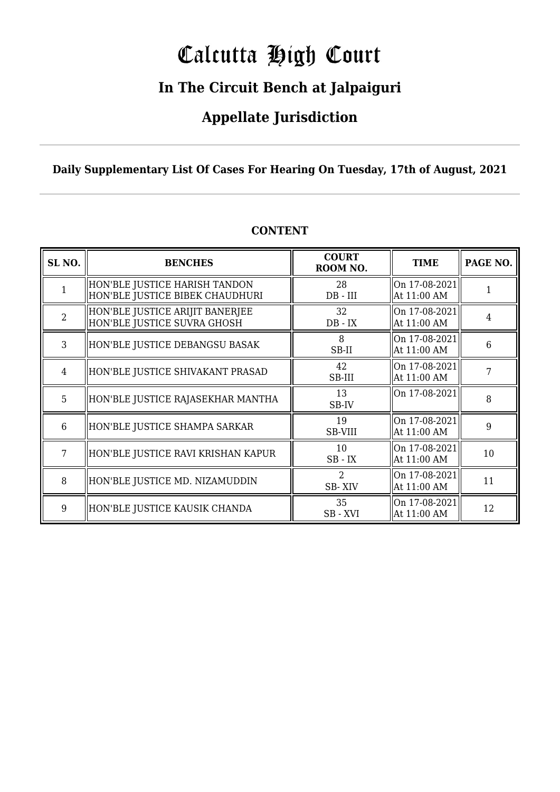# Calcutta High Court

## **In The Circuit Bench at Jalpaiguri**

## **Appellate Jurisdiction**

**Daily Supplementary List Of Cases For Hearing On Tuesday, 17th of August, 2021**

| SL <sub>NO.</sub> | <b>BENCHES</b>                                                   | <b>COURT</b><br>ROOM NO. | <b>TIME</b>                  | PAGE NO. |
|-------------------|------------------------------------------------------------------|--------------------------|------------------------------|----------|
|                   | HON'BLE JUSTICE HARISH TANDON<br>HON'BLE JUSTICE BIBEK CHAUDHURI | 28<br>$DB - III$         | On 17-08-2021<br>At 11:00 AM |          |
| $\overline{2}$    | HON'BLE JUSTICE ARIJIT BANERJEE<br>HON'BLE JUSTICE SUVRA GHOSH   | 32<br>$DB - IX$          | On 17-08-2021<br>At 11:00 AM | 4        |
| 3                 | HON'BLE JUSTICE DEBANGSU BASAK                                   | 8<br>SB-II               | On 17-08-2021<br>At 11:00 AM | 6        |
| 4                 | HON'BLE JUSTICE SHIVAKANT PRASAD                                 | 42<br>SB-III             | On 17-08-2021<br>At 11:00 AM | 7        |
| 5                 | HON'BLE JUSTICE RAJASEKHAR MANTHA                                | 13<br>SB-IV              | On 17-08-2021                | 8        |
| 6                 | HON'BLE JUSTICE SHAMPA SARKAR                                    | 19<br>SB-VIII            | On 17-08-2021<br>At 11:00 AM | 9        |
| 7                 | HON'BLE JUSTICE RAVI KRISHAN KAPUR                               | 10<br>$SB$ - $IX$        | On 17-08-2021<br>At 11:00 AM | 10       |
| 8                 | HON'BLE JUSTICE MD. NIZAMUDDIN                                   | $\overline{2}$<br>SB-XIV | On 17-08-2021<br>At 11:00 AM | 11       |
| 9                 | HON'BLE JUSTICE KAUSIK CHANDA                                    | 35<br>SB-XVI             | On 17-08-2021<br>At 11:00 AM | 12       |

## **CONTENT**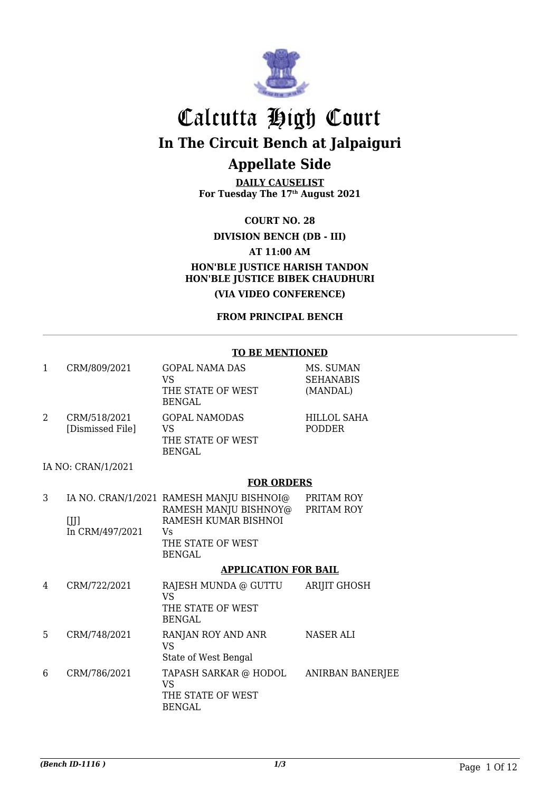

**DAILY CAUSELIST For Tuesday The 17th August 2021**

**COURT NO. 28**

**DIVISION BENCH (DB - III)**

**AT 11:00 AM**

**HON'BLE JUSTICE HARISH TANDON HON'BLE JUSTICE BIBEK CHAUDHURI**

**(VIA VIDEO CONFERENCE)**

**FROM PRINCIPAL BENCH**

### **TO BE MENTIONED**

| 1 | CRM/809/2021                     | <b>GOPAL NAMA DAS</b><br>VS<br>THE STATE OF WEST<br><b>BENGAL</b>                                                                     | MS. SUMAN<br><b>SEHANABIS</b><br>(MANDAL) |
|---|----------------------------------|---------------------------------------------------------------------------------------------------------------------------------------|-------------------------------------------|
| 2 | CRM/518/2021<br>[Dismissed File] | <b>GOPAL NAMODAS</b><br><b>VS</b><br>THE STATE OF WEST<br><b>BENGAL</b>                                                               | <b>HILLOL SAHA</b><br><b>PODDER</b>       |
|   | IA NO: CRAN/1/2021               |                                                                                                                                       |                                           |
|   |                                  | <b>FOR ORDERS</b>                                                                                                                     |                                           |
| 3 | [JJ]<br>In CRM/497/2021          | IA NO. CRAN/1/2021 RAMESH MANJU BISHNOI@<br>RAMESH MANJU BISHNOY@<br>RAMESH KUMAR BISHNOI<br>Vs<br>THE STATE OF WEST<br><b>BENGAL</b> | PRITAM ROY<br>PRITAM ROY                  |
|   |                                  | <b>APPLICATION FOR BAIL</b>                                                                                                           |                                           |
| 4 | CRM/722/2021                     | RAJESH MUNDA @ GUTTU<br><b>VS</b><br>THE STATE OF WEST<br>BENGAL                                                                      | <b>ARIJIT GHOSH</b>                       |
| 5 | CRM/748/2021                     | RANJAN ROY AND ANR<br><b>VS</b><br>State of West Bengal                                                                               | <b>NASER ALI</b>                          |
| 6 | CRM/786/2021                     | TAPASH SARKAR @ HODOL<br><b>VS</b><br>THE STATE OF WEST<br><b>BENGAL</b>                                                              | ANIRBAN BANERJEE                          |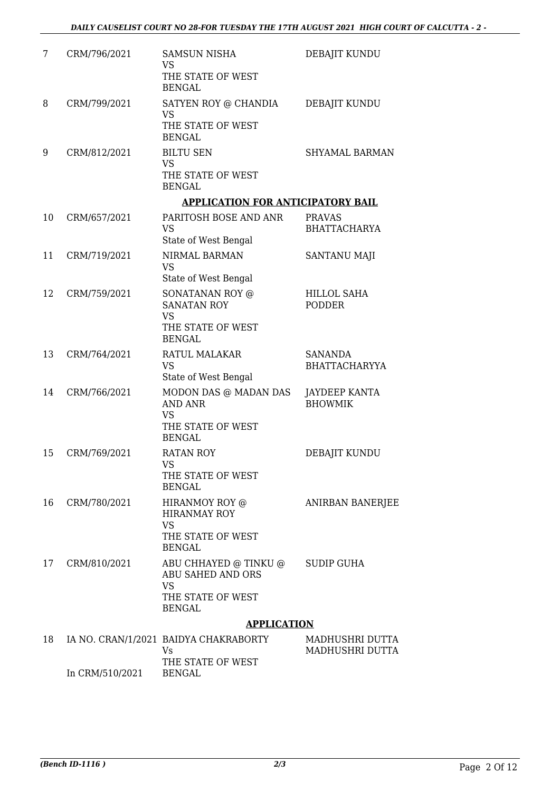| 7  | CRM/796/2021    | <b>SAMSUN NISHA</b><br><b>VS</b>                                                           | DEBAJIT KUNDU                          |
|----|-----------------|--------------------------------------------------------------------------------------------|----------------------------------------|
|    |                 | THE STATE OF WEST<br><b>BENGAL</b>                                                         |                                        |
| 8  | CRM/799/2021    | SATYEN ROY @ CHANDIA<br><b>VS</b><br>THE STATE OF WEST<br><b>BENGAL</b>                    | DEBAJIT KUNDU                          |
| 9  | CRM/812/2021    | <b>BILTU SEN</b><br>VS<br>THE STATE OF WEST<br><b>BENGAL</b>                               | <b>SHYAMAL BARMAN</b>                  |
|    |                 | <b>APPLICATION FOR ANTICIPATORY BAIL</b>                                                   |                                        |
| 10 | CRM/657/2021    | PARITOSH BOSE AND ANR<br><b>VS</b><br>State of West Bengal                                 | <b>PRAVAS</b><br><b>BHATTACHARYA</b>   |
| 11 | CRM/719/2021    | NIRMAL BARMAN<br><b>VS</b><br>State of West Bengal                                         | <b>SANTANU MAJI</b>                    |
| 12 | CRM/759/2021    | SONATANAN ROY @<br><b>SANATAN ROY</b><br><b>VS</b><br>THE STATE OF WEST                    | HILLOL SAHA<br><b>PODDER</b>           |
| 13 | CRM/764/2021    | <b>BENGAL</b><br>RATUL MALAKAR<br><b>VS</b><br>State of West Bengal                        | <b>SANANDA</b><br><b>BHATTACHARYYA</b> |
| 14 | CRM/766/2021    | MODON DAS @ MADAN DAS<br><b>AND ANR</b><br><b>VS</b><br>THE STATE OF WEST<br><b>BENGAL</b> | JAYDEEP KANTA<br><b>BHOWMIK</b>        |
| 15 | CRM/769/2021    | <b>RATAN ROY</b><br>VS<br>THE STATE OF WEST<br><b>BENGAL</b>                               | DEBAJIT KUNDU                          |
| 16 | CRM/780/2021    | HIRANMOY ROY @<br><b>HIRANMAY ROY</b><br><b>VS</b><br>THE STATE OF WEST<br><b>BENGAL</b>   | ANIRBAN BANERJEE                       |
| 17 | CRM/810/2021    | ABU CHHAYED @ TINKU @<br>ABU SAHED AND ORS<br><b>VS</b>                                    | <b>SUDIP GUHA</b>                      |
|    |                 | THE STATE OF WEST<br><b>BENGAL</b>                                                         |                                        |
|    |                 | <b>APPLICATION</b>                                                                         |                                        |
| 18 |                 | IA NO. CRAN/1/2021 BAIDYA CHAKRABORTY<br>Vs<br>THE STATE OF WEST                           | MADHUSHRI DUTTA<br>MADHUSHRI DUTTA     |
|    | In CRM/510/2021 | <b>BENGAL</b>                                                                              |                                        |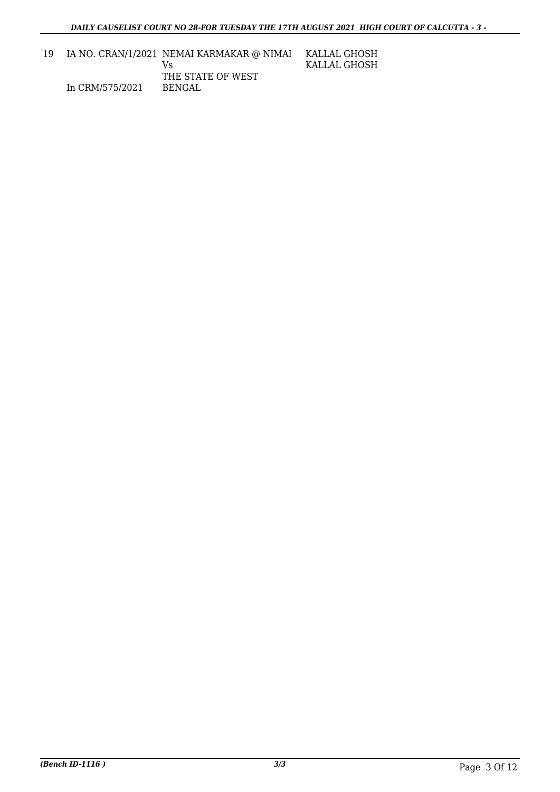| 19 |                 | IA NO. CRAN/1/2021 NEMAI KARMAKAR @ NIMAI | KALLAL GHOSH |
|----|-----------------|-------------------------------------------|--------------|
|    |                 | Vs                                        | KALLAL GHOSH |
|    |                 | THE STATE OF WEST                         |              |
|    | In CRM/575/2021 | BENGAL                                    |              |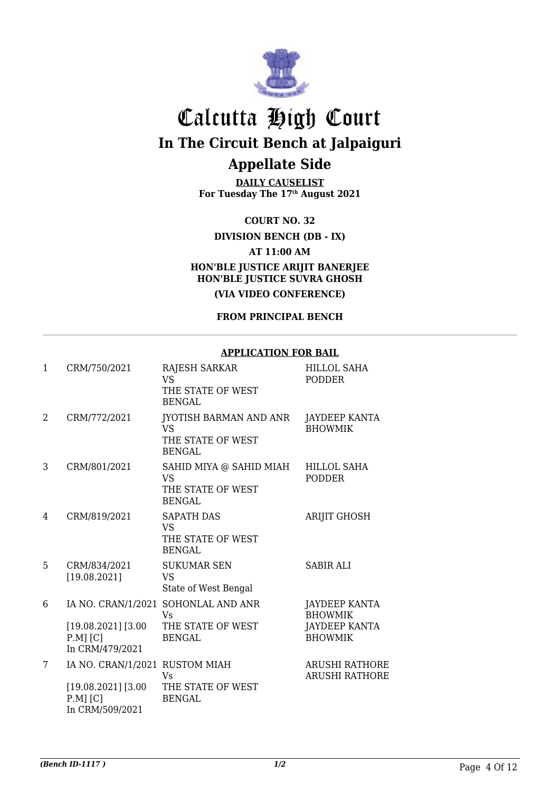

**DAILY CAUSELIST For Tuesday The 17th August 2021**

**COURT NO. 32**

**DIVISION BENCH (DB - IX)**

**AT 11:00 AM**

**HON'BLE JUSTICE ARIJIT BANERJEE HON'BLE JUSTICE SUVRA GHOSH**

**(VIA VIDEO CONFERENCE)**

**FROM PRINCIPAL BENCH**

### **APPLICATION FOR BAIL**

| $\mathbf{1}$ | CRM/750/2021                                                                             | <b>RAJESH SARKAR</b><br><b>VS</b><br>THE STATE OF WEST<br><b>BENGAL</b>         | <b>HILLOL SAHA</b><br><b>PODDER</b>                                       |
|--------------|------------------------------------------------------------------------------------------|---------------------------------------------------------------------------------|---------------------------------------------------------------------------|
| 2            | CRM/772/2021                                                                             | JYOTISH BARMAN AND ANR<br>VS<br>THE STATE OF WEST<br><b>BENGAL</b>              | JAYDEEP KANTA<br><b>BHOWMIK</b>                                           |
| 3            | CRM/801/2021                                                                             | SAHID MIYA @ SAHID MIAH<br>VS.<br>THE STATE OF WEST<br><b>BENGAL</b>            | <b>HILLOL SAHA</b><br><b>PODDER</b>                                       |
| 4            | CRM/819/2021                                                                             | <b>SAPATH DAS</b><br><b>VS</b><br>THE STATE OF WEST<br><b>BENGAL</b>            | <b>ARIJIT GHOSH</b>                                                       |
| 5            | CRM/834/2021<br>[19.08.2021]                                                             | <b>SUKUMAR SEN</b><br><b>VS</b><br>State of West Bengal                         | <b>SABIR ALI</b>                                                          |
| 6            | $[19.08.2021]$ [3.00<br>$P.M$ ] [C]<br>In CRM/479/2021                                   | IA NO. CRAN/1/2021 SOHONLAL AND ANR<br>Vs<br>THE STATE OF WEST<br><b>BENGAL</b> | <b>JAYDEEP KANTA</b><br><b>BHOWMIK</b><br>JAYDEEP KANTA<br><b>BHOWMIK</b> |
| 7            | IA NO. CRAN/1/2021 RUSTOM MIAH<br>$[19.08.2021]$ [3.00<br>$P.M$ ] [C]<br>In CRM/509/2021 | Vs<br>THE STATE OF WEST<br><b>BENGAL</b>                                        | <b>ARUSHI RATHORE</b><br><b>ARUSHI RATHORE</b>                            |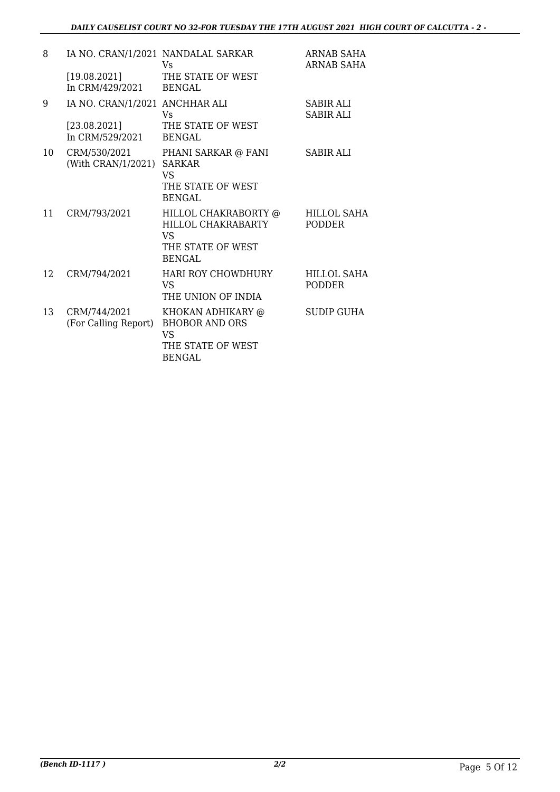| 8  |                                           | IA NO. CRAN/1/2021 NANDALAL SARKAR<br>Vs                                                      | ARNAB SAHA<br>ARNAB SAHA      |
|----|-------------------------------------------|-----------------------------------------------------------------------------------------------|-------------------------------|
|    | [19.08.2021]<br>In CRM/429/2021 BENGAL    | THE STATE OF WEST                                                                             |                               |
| 9  | IA NO. CRAN/1/2021 ANCHHAR ALI            | Vs                                                                                            | SABIR ALI<br><b>SABIR ALI</b> |
|    | [23.08.2021]<br>In CRM/529/2021           | THE STATE OF WEST<br><b>BENGAL</b>                                                            |                               |
| 10 | CRM/530/2021<br>(With CRAN/1/2021) SARKAR | PHANI SARKAR @ FANI<br><b>VS</b><br>THE STATE OF WEST<br><b>BENGAL</b>                        | <b>SABIR ALI</b>              |
| 11 | CRM/793/2021                              | HILLOL CHAKRABORTY @<br>HILLOL CHAKRABARTY<br><b>VS</b><br>THE STATE OF WEST<br><b>BENGAL</b> | HILLOL SAHA<br>PODDER         |
| 12 | CRM/794/2021                              | HARI ROY CHOWDHURY<br><b>VS</b><br>THE UNION OF INDIA                                         | HILLOL SAHA<br><b>PODDER</b>  |
| 13 | CRM/744/2021<br>(For Calling Report)      | KHOKAN ADHIKARY @<br><b>BHOBOR AND ORS</b><br><b>VS</b><br>THE STATE OF WEST<br><b>BENGAL</b> | SUDIP GUHA                    |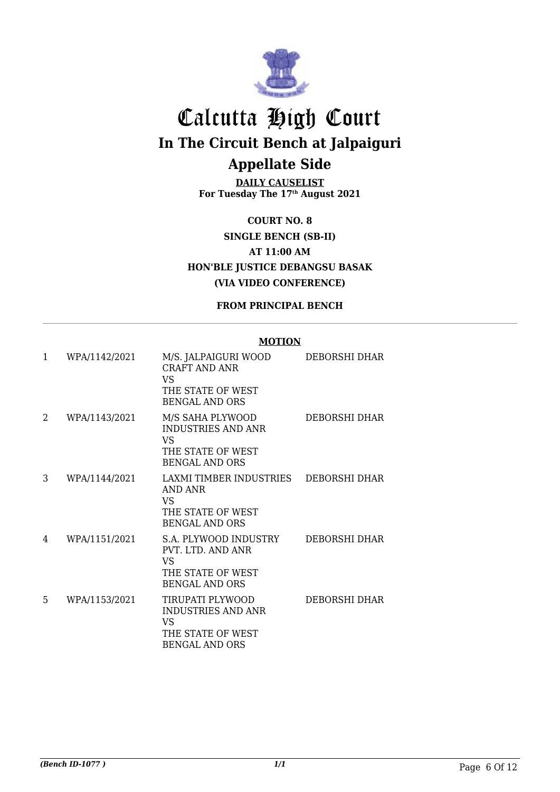

**DAILY CAUSELIST For Tuesday The 17th August 2021**

**COURT NO. 8 SINGLE BENCH (SB-II) AT 11:00 AM HON'BLE JUSTICE DEBANGSU BASAK (VIA VIDEO CONFERENCE)**

**FROM PRINCIPAL BENCH**

| $\mathbf{1}$ | WPA/1142/2021 | M/S. JALPAIGURI WOOD<br><b>CRAFT AND ANR</b><br>VS.<br>THE STATE OF WEST<br><b>BENGAL AND ORS</b> | DEBORSHI DHAR        |
|--------------|---------------|---------------------------------------------------------------------------------------------------|----------------------|
| 2            | WPA/1143/2021 | M/S SAHA PLYWOOD<br>INDUSTRIES AND ANR<br>VS.<br>THE STATE OF WEST<br><b>BENGAL AND ORS</b>       | DEBORSHI DHAR        |
| 3            | WPA/1144/2021 | LAXMI TIMBER INDUSTRIES<br>AND ANR<br><b>VS</b><br>THE STATE OF WEST<br><b>BENGAL AND ORS</b>     | DEBORSHI DHAR        |
| 4            | WPA/1151/2021 | S.A. PLYWOOD INDUSTRY<br>PVT. LTD. AND ANR<br>VS<br>THE STATE OF WEST<br><b>BENGAL AND ORS</b>    | <b>DEBORSHI DHAR</b> |
| 5            | WPA/1153/2021 | TIRUPATI PLYWOOD<br>INDUSTRIES AND ANR<br>VS<br>THE STATE OF WEST<br><b>BENGAL AND ORS</b>        | DEBORSHI DHAR        |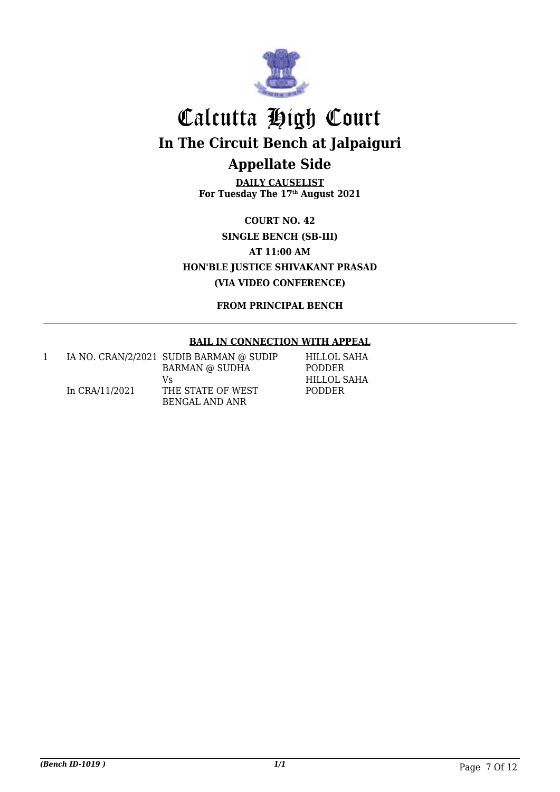

**DAILY CAUSELIST For Tuesday The 17th August 2021**

**COURT NO. 42 SINGLE BENCH (SB-III) AT 11:00 AM HON'BLE JUSTICE SHIVAKANT PRASAD (VIA VIDEO CONFERENCE)**

**FROM PRINCIPAL BENCH**

### **BAIL IN CONNECTION WITH APPEAL**

|                | IA NO. CRAN/2/2021 SUDIB BARMAN @ SUDIP | HILLOL SAHA   |
|----------------|-----------------------------------------|---------------|
|                | <b>BARMAN @ SUDHA</b>                   | <b>PODDER</b> |
|                | V۹                                      | HILLOL SAHA   |
| In CRA/11/2021 | THE STATE OF WEST                       | <b>PODDER</b> |
|                | BENGAL AND ANR                          |               |

*(Bench ID-1019 ) 1/1* Page 7 Of 12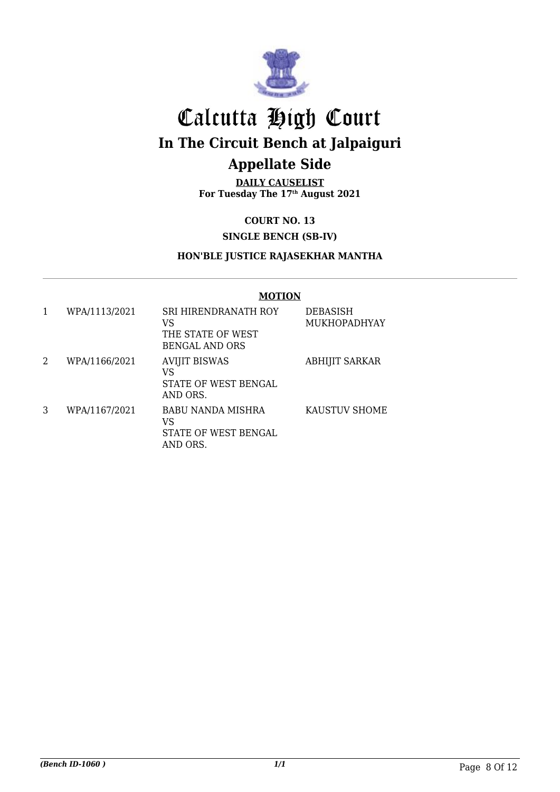

**DAILY CAUSELIST For Tuesday The 17th August 2021**

**COURT NO. 13**

### **SINGLE BENCH (SB-IV)**

**HON'BLE JUSTICE RAJASEKHAR MANTHA**

| 1 | WPA/1113/2021 | <b>SRI HIRENDRANATH ROY</b><br>VS<br>THE STATE OF WEST<br>BENGAL AND ORS | DEBASISH<br><b>MUKHOPADHYAY</b> |
|---|---------------|--------------------------------------------------------------------------|---------------------------------|
| 2 | WPA/1166/2021 | <b>AVIJIT BISWAS</b><br>VS<br>STATE OF WEST BENGAL<br>AND ORS.           | <b>ABHIJIT SARKAR</b>           |
| 3 | WPA/1167/2021 | <b>BABU NANDA MISHRA</b><br>VS<br>STATE OF WEST BENGAL<br>AND ORS.       | KAUSTUV SHOME                   |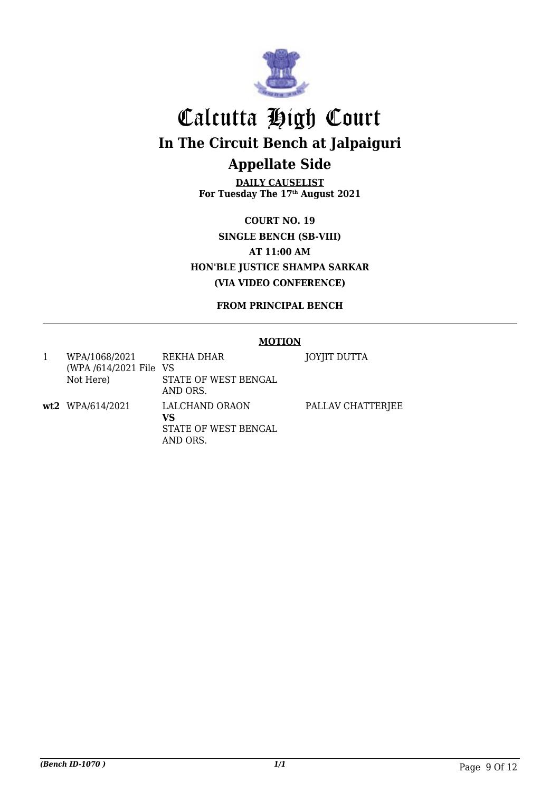

**DAILY CAUSELIST For Tuesday The 17th August 2021**

**COURT NO. 19 SINGLE BENCH (SB-VIII) AT 11:00 AM HON'BLE JUSTICE SHAMPA SARKAR (VIA VIDEO CONFERENCE)**

**FROM PRINCIPAL BENCH**

| WPA/1068/2021<br>(WPA/614/2021 File VS)<br>Not Here) | REKHA DHAR<br>STATE OF WEST BENGAL<br>AND ORS.           | JOYJIT DUTTA      |
|------------------------------------------------------|----------------------------------------------------------|-------------------|
| wt2 WPA/614/2021                                     | LALCHAND ORAON<br>VS<br>STATE OF WEST BENGAL<br>AND ORS. | PALLAV CHATTERIEE |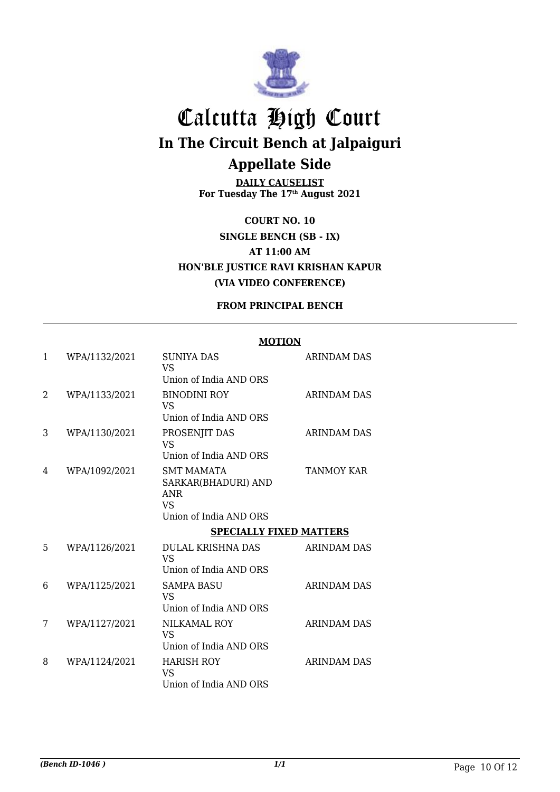

**DAILY CAUSELIST For Tuesday The 17th August 2021**

**COURT NO. 10 SINGLE BENCH (SB - IX) AT 11:00 AM HON'BLE JUSTICE RAVI KRISHAN KAPUR (VIA VIDEO CONFERENCE)**

### **FROM PRINCIPAL BENCH**

| 1 | WPA/1132/2021 | <b>SUNIYA DAS</b><br><b>VS</b><br>Union of India AND ORS                                      | <b>ARINDAM DAS</b> |
|---|---------------|-----------------------------------------------------------------------------------------------|--------------------|
| 2 | WPA/1133/2021 | <b>BINODINI ROY</b><br><b>VS</b><br>Union of India AND ORS                                    | ARINDAM DAS        |
| 3 | WPA/1130/2021 | PROSENJIT DAS<br><b>VS</b><br>Union of India AND ORS                                          | ARINDAM DAS        |
| 4 | WPA/1092/2021 | <b>SMT MAMATA</b><br>SARKAR(BHADURI) AND<br><b>ANR</b><br><b>VS</b><br>Union of India AND ORS | TANMOY KAR         |
|   |               | <b>SPECIALLY FIXED MATTERS</b>                                                                |                    |
|   |               |                                                                                               |                    |
| 5 | WPA/1126/2021 | <b>DULAL KRISHNA DAS</b><br><b>VS</b><br>Union of India AND ORS                               | <b>ARINDAM DAS</b> |
| 6 | WPA/1125/2021 | <b>SAMPA BASU</b><br><b>VS</b><br>Union of India AND ORS                                      | <b>ARINDAM DAS</b> |
| 7 | WPA/1127/2021 | NILKAMAL ROY<br><b>VS</b><br>Union of India AND ORS                                           | <b>ARINDAM DAS</b> |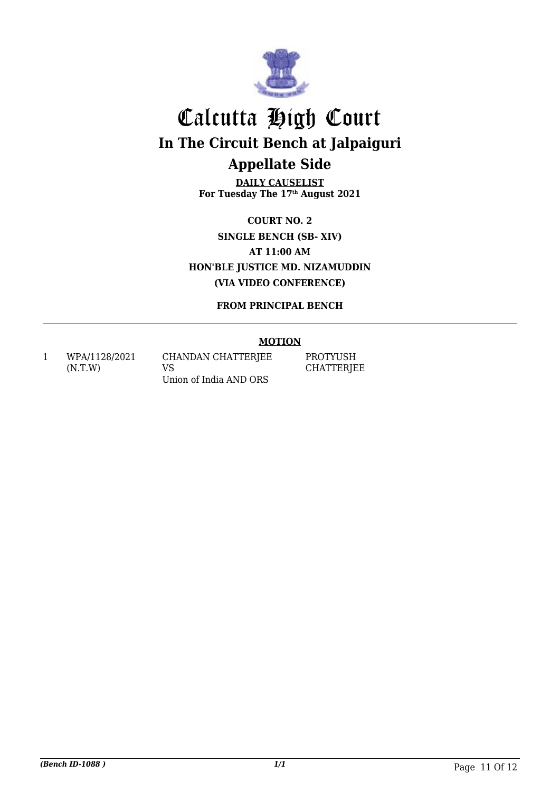

**DAILY CAUSELIST For Tuesday The 17th August 2021**

**COURT NO. 2 SINGLE BENCH (SB- XIV) AT 11:00 AM HON'BLE JUSTICE MD. NIZAMUDDIN (VIA VIDEO CONFERENCE)**

**FROM PRINCIPAL BENCH**

### **MOTION**

1 WPA/1128/2021 (N.T.W)

CHANDAN CHATTERJEE VS Union of India AND ORS

PROTYUSH **CHATTERJEE**